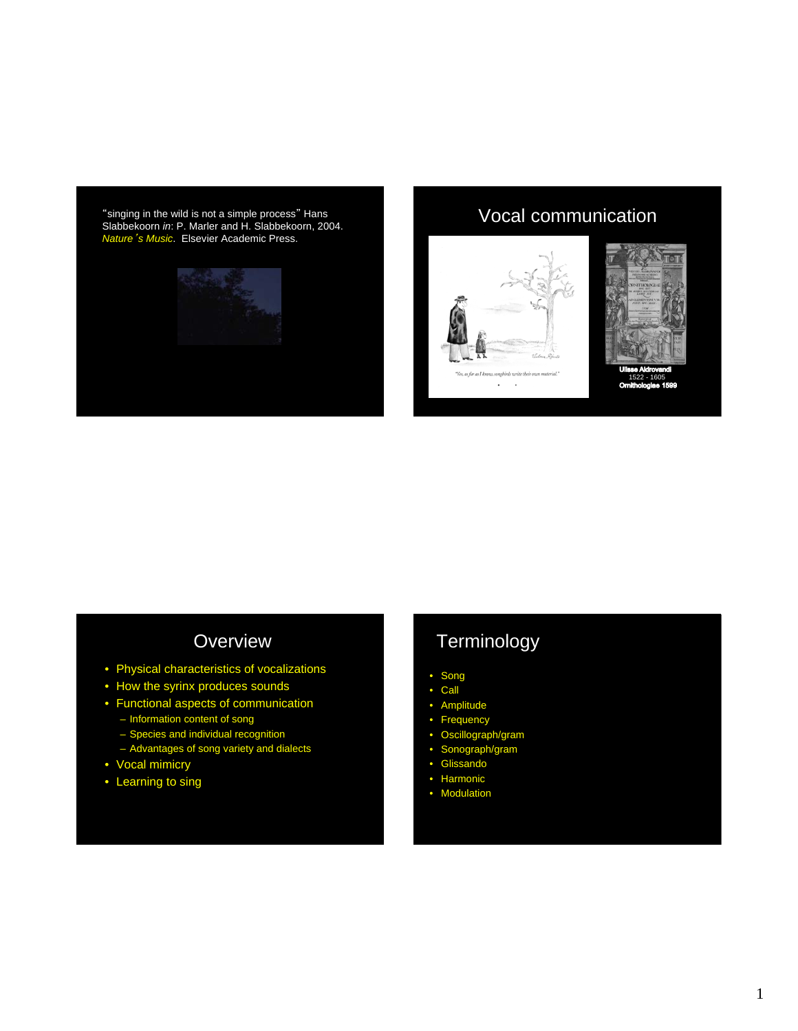"singing in the wild is not a simple process" Hans Slabbekoorn *in*: P. Marler and H. Slabbekoorn, 2004. *Nature*'*s Music*. Elsevier Academic Press.



### Vocal communication







1522 - 1605

## **Overview**

- Physical characteristics of vocalizations
- How the syrinx produces sounds
- Functional aspects of communication
- Information content of song – Species and individual recognition
- Advantages of song variety and dialects
- Vocal mimicry
- Learning to sing

# **Terminology**

- Song
- Call
- Amplitude
- Frequency
- Oscillograph/gram
- Sonograph/gram
- Glissando • Harmonic
- Modulation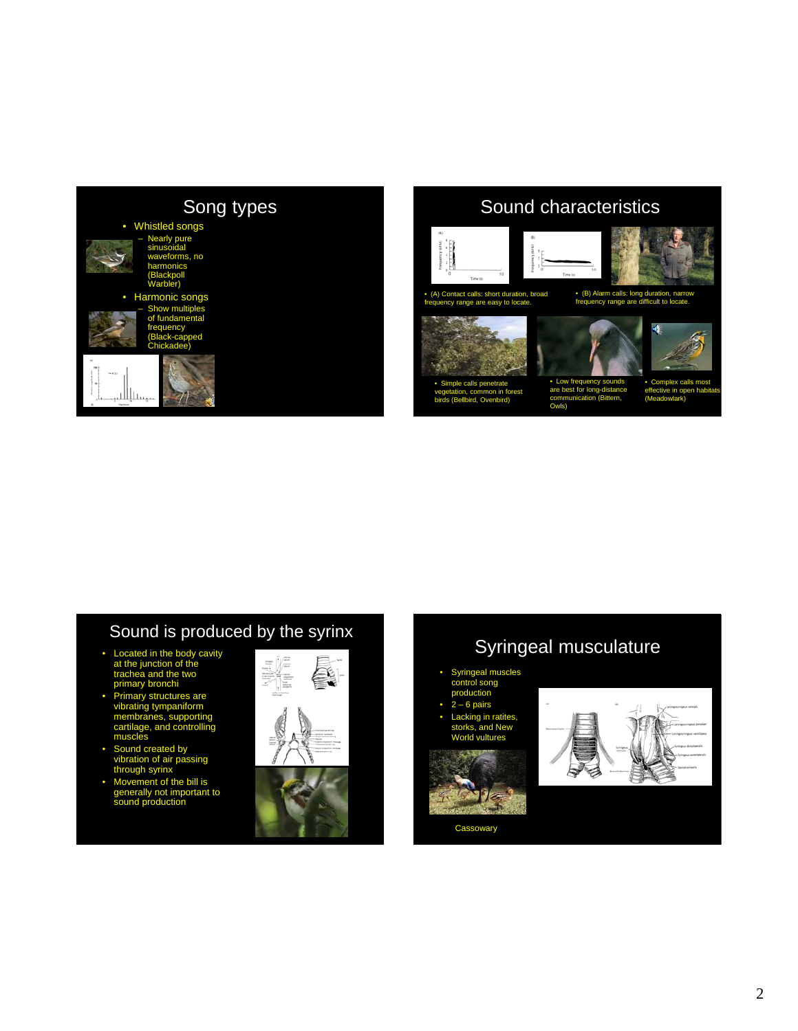

## Sound characteristics

Owls)



• Simple calls penetrate vegetation, common in forest birds (Bellbird, Ovenbird)





• Low frequency sounds are best for long-distance communication (Bittern, • Complex calls most effective in open habitats (Meadowlark)

# Sound is produced by the syrinx

- Located in the body cavity at the junction of the e two primary bronchi
- s are vibrating tympaniform membranes, supporting troll muscles
- created by n of air passing h syrinx
- Movement of the bill is generally not important to sound production



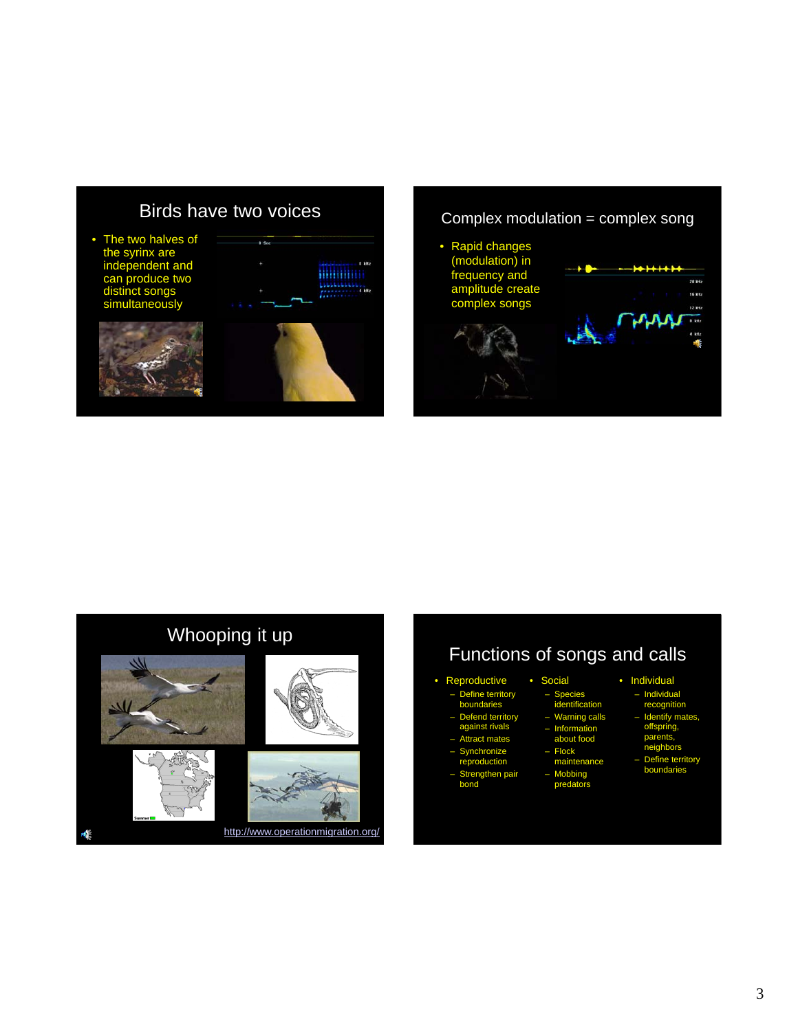#### Birds have two voices

 $0.5<sub>cc</sub>$ 

• The two halves of the syrinx are independent and can produce two distinct songs simultaneously









# Functions of songs and calls

– Species identification – Warning calls – Information about food – Flock maintenance – Mobbing predators

• Social

#### **Reproductive** .<br>Define territory

- boundaries
- Defend territory against rivals
- Attract mates
- Synchronize
- reproduction
- Strengthen pair bond
	-
- Individual
- Individual recognition
- Identify mates, offspring, parents, neighbors
	-
	- Define territory boundaries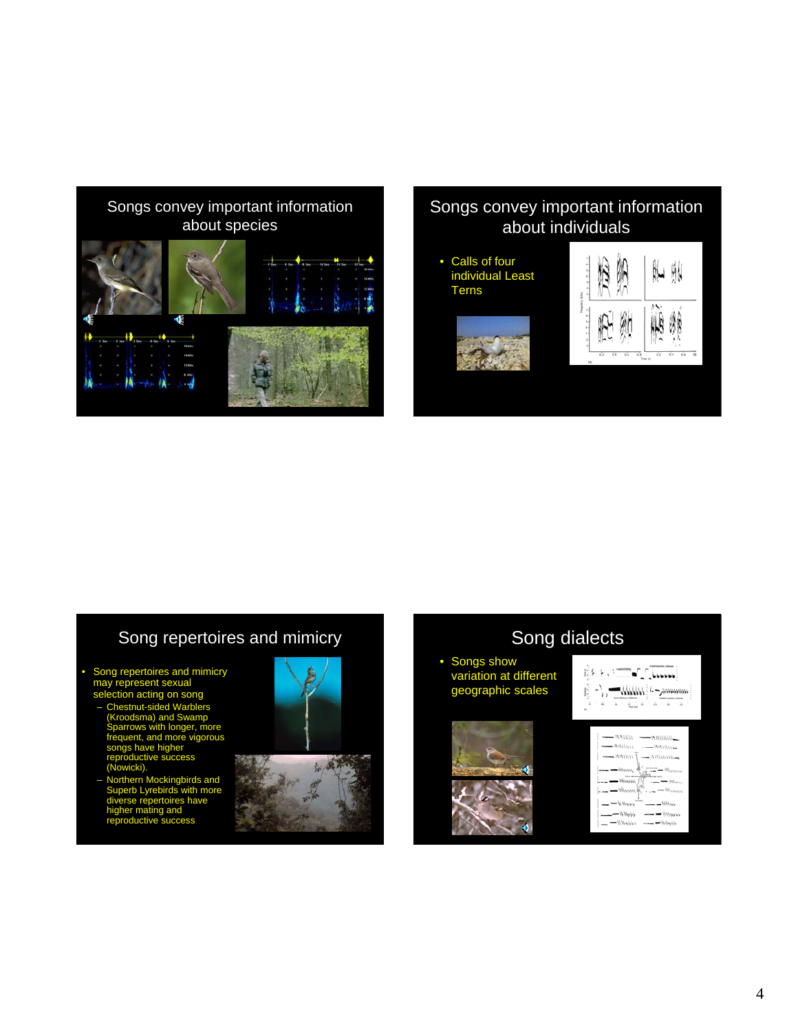

#### Songs convey important information about individuals

• Calls of four individual Least Terns





#### Song repertoires and mimicry

- Song repertoires and mimicry may represent sexual
	- on acting on song nut-sided Warbl (Kroodsma) and Swamp Sparrows with longer, more frequent, and more vigorous songs have higher reproductive success (Nowicki).
	- irds and Superb Lyrebirds with more diverse repertoires have higher mating and reproductive success



#### Song dialects



4